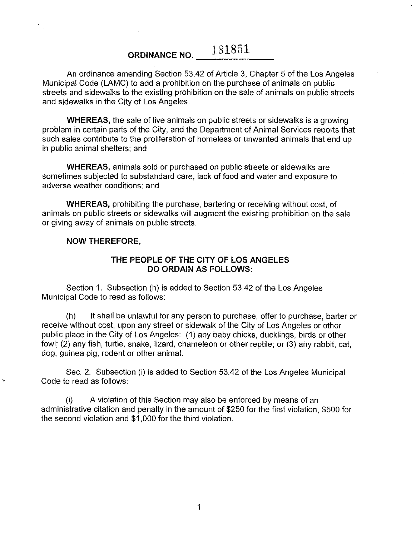## **ORDINANCE NO. \_\_** 1\_8\_1\_8\_5\_1\_\_

An ordinance amending Section 53.42 of Article 3, Chapter 5 of the Los Angeles Municipal Code (LAMC) to add a prohibition on the purchase of animals on public streets and sidewalks to the existing prohibition on the sale of animals on public streets and sidewalks in the City of Los Angeles.

**WHEREAS,** the sale of live animals on public streets or sidewalks is a growing problem in certain parts of the City, and the Department of Animal Services reports that such sales contribute to the proliferation of homeless or unwanted animals that end up in public animal shelters; and

**WHEREAS,** animals sold or purchased on public streets or sidewalks are sometimes subjected to substandard care, lack of food and water and exposure to adverse weather conditions; and

**WHEREAS,** prohibiting the purchase, bartering or receiving without cost, of animals on public streets or sidewalks will augment the existing prohibition on the sale or giving away of animals on public streets.

## **NOW THEREFORE,**

## **THE PEOPLE OF THE CITY OF LOS ANGELES DO ORDAIN AS FOLLOWS:**

Section 1. Subsection (h) is added to Section 53.42 of the Los Angeles Municipal Code to read as follows:

(h) It shall be unlawful for any person to purchase, offer to purchase, barter or receive without cost, upon any street or sidewalk of the City of Los Angeles or other public place in the City of Los Angeles: (1) any baby chicks, ducklings, birds or other fowl; (2) any fish, turtle, snake, lizard, chameleon or other reptile; or (3) any rabbit, cat, dog, guinea pig, rodent or other animal.

Sec. 2. Subsection (i) is added to Section 53.42 of the Los Angeles Municipal Code to read as follows:

(i) A violation of this Section may also be enforced by means of an administrative citation and penalty in the amount of \$250 for the first violation, \$500 for the second violation and \$1,000 for the third violation.